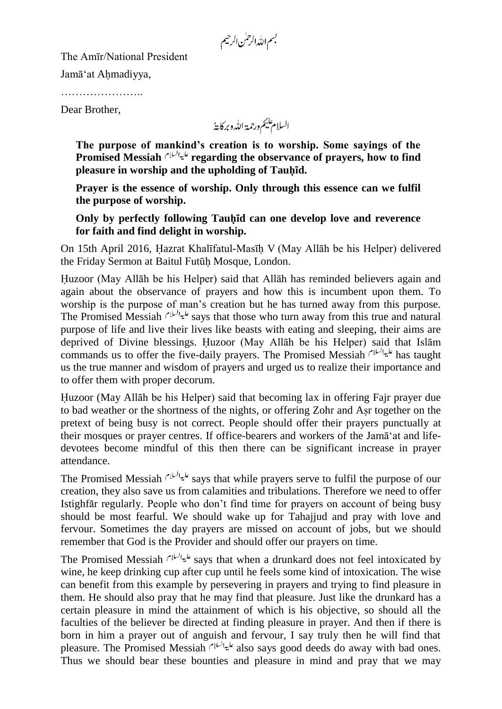بسم الله الرحمٰن الرحيم

The Amīr/National President

Jamā'at Ahmadiyya,

…………………..

Dear Brother,

السلام عليم ورحمة اللدو بركاية

**The purpose of mankind's creation is to worship. Some sayings of the Promised Messiah regarding the observance of prayers, how to find pleasure in worship and the upholding of Tauhid.**

**Prayer is the essence of worship. Only through this essence can we fulfil the purpose of worship.**

**Only by perfectly following Tauhid can one develop love and reverence for faith and find delight in worship.**

On 15th April 2016, Hazrat Khalīfatul-Masīh V (May Allāh be his Helper) delivered the Friday Sermon at Baitul Futūh Mosque, London.

Huzoor (May Allāh be his Helper) said that Allāh has reminded believers again and again about the observance of prayers and how this is incumbent upon them. To worship is the purpose of man's creation but he has turned away from this purpose. The Promised Messiah  $s^{1/4}$  says that those who turn away from this true and natural purpose of life and live their lives like beasts with eating and sleeping, their aims are deprived of Divine blessings. Huzoor (May Allāh be his Helper) said that Islām commands us to offer the five-daily prayers. The Promised Messiah  $d^{\lfloor \frac{n}{2} \rfloor}$  has taught us the true manner and wisdom of prayers and urged us to realize their importance and to offer them with proper decorum.

Huzoor (May Allāh be his Helper) said that becoming lax in offering Fajr prayer due to bad weather or the shortness of the nights, or offering Zohr and Asr together on the pretext of being busy is not correct. People should offer their prayers punctually at their mosques or prayer centres. If office-bearers and workers of the Jamā'at and lifedevotees become mindful of this then there can be significant increase in prayer attendance.

The Promised Messiah على السلام says that while prayers serve to fulfil the purpose of our creation, they also save us from calamities and tribulations. Therefore we need to offer Istighfar regularly. People who don't find time for prayers on account of being busy should be most fearful. We should wake up for Tahajjud and pray with love and fervour. Sometimes the day prayers are missed on account of jobs, but we should remember that God is the Provider and should offer our prayers on time.

The Promised Messiah  $\frac{d}{dx}$ says that when a drunkard does not feel intoxicated by wine, he keep drinking cup after cup until he feels some kind of intoxication. The wise can benefit from this example by persevering in prayers and trying to find pleasure in them. He should also pray that he may find that pleasure. Just like the drunkard has a certain pleasure in mind the attainment of which is his objective, so should all the faculties of the believer be directed at finding pleasure in prayer. And then if there is born in him a prayer out of anguish and fervour, I say truly then he will find that pleasure. The Promised Messiah عليوالسلام also says good deeds do away with bad ones. Thus we should bear these bounties and pleasure in mind and pray that we may